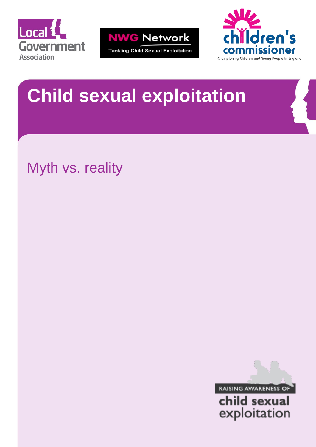





# **Child sexual exploitation**

# Myth vs. reality

RAISING AWARENESS OF child sexual exploitation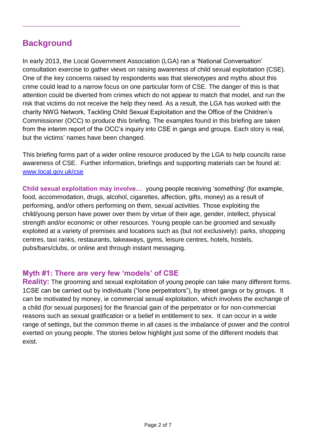# **Background**

In early 2013, the Local Government Association (LGA) ran a 'National Conversation' consultation exercise to gather views on raising awareness of child sexual exploitation (CSE). One of the key concerns raised by respondents was that stereotypes and myths about this crime could lead to a narrow focus on one particular form of CSE. The danger of this is that attention could be diverted from crimes which do not appear to match that model, and run the risk that victims do not receive the help they need. As a result, the LGA has worked with the charity NWG Network, Tackling Child Sexual Exploitation and the Office of the Children's Commissioner (OCC) to produce this briefing. The examples found in this briefing are taken from the interim report of the OCC's inquiry into CSE in gangs and groups. Each story is real, but the victims' names have been changed.

**\_\_\_\_\_\_\_\_\_\_\_\_\_\_\_\_\_\_\_\_\_\_\_\_\_\_\_\_\_\_\_\_\_\_\_\_\_\_\_\_\_**

This briefing forms part of a wider online resource produced by the LGA to help councils raise awareness of CSE. Further information, briefings and supporting materials can be found at: [www.local.gov.uk/cse](http://www.local.gov.uk/cse) 

**Child sexual exploitation may involve…** young people receiving 'something' (for example, food, accommodation, drugs, alcohol, cigarettes, affection, gifts, money) as a result of performing, and/or others performing on them, sexual activities. Those exploiting the child/young person have power over them by virtue of their age, gender, intellect, physical strength and/or economic or other resources. Young people can be groomed and sexually exploited at a variety of premises and locations such as (but not exclusively): parks, shopping centres, taxi ranks, restaurants, takeaways, gyms, leisure centres, hotels, hostels, pubs/bars/clubs, or online and through instant messaging.

## **Myth #1: There are very few 'models' of CSE**

**Reality:** The grooming and sexual exploitation of young people can take many different forms. 1CSE can be carried out by individuals ("lone perpetrators"), by street gangs or by groups. It can be motivated by money, ie commercial sexual exploitation, which involves the exchange of a child (for sexual purposes) for the financial gain of the perpetrator or for non-commercial reasons such as sexual gratification or a belief in entitlement to sex. It can occur in a wide range of settings, but the common theme in all cases is the imbalance of power and the control exerted on young people. The stories below highlight just some of the different models that exist.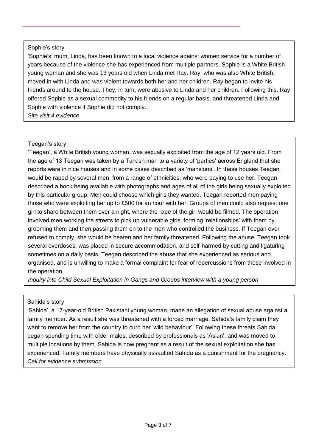#### Sophie's story

'Sophie's' mum, Linda, has been known to a local violence against women service for a number of years because of the violence she has experienced from multiple partners. Sophie is a White British young woman and she was 13 years old when Linda met Ray. Ray, who was also White British, moved in with Linda and was violent towards both her and her children. Ray began to invite his friends around to the house. They, in turn, were abusive to Linda and her children. Following this, Ray offered Sophie as a sexual commodity to his friends on a regular basis, and threatened Linda and Sophie with violence if Sophie did not comply.

**\_\_\_\_\_\_\_\_\_\_\_\_\_\_\_\_\_\_\_\_\_\_\_\_\_\_\_\_\_\_\_\_\_\_\_\_\_\_\_\_\_**

*Site visit 4 evidence*

#### Teegan's story

'Teegan', a White British young woman, was sexually exploited from the age of 12 years old. From the age of 13 Teegan was taken by a Turkish man to a variety of 'parties' across England that she reports were in nice houses and in some cases described as 'mansions'. In these houses Teegan would be raped by several men, from a range of ethnicities, who were paying to use her. Teegan described a book being available with photographs and ages of all of the girls being sexually exploited by this particular group. Men could choose which girls they wanted. Teegan reported men paying those who were exploiting her up to £500 for an hour with her. Groups of men could also request one girl to share between them over a night, where the rape of the girl would be filmed. The operation involved men working the streets to pick up vulnerable girls, forming 'relationships' with them by grooming them and then passing them on to the men who controlled the business. If Teegan ever refused to comply, she would be beaten and her family threatened. Following the abuse, Teegan took several overdoses, was placed in secure accommodation, and self-harmed by cutting and ligaturing sometimes on a daily basis. Teegan described the abuse that she experienced as serious and organised, and is unwilling to make a formal complaint for fear of repercussions from those involved in the operation.

*Inquiry into Child Sexual Exploitation in Gangs and Groups interview with a young person*

#### Sahida's story

'Sahida', a 17-year-old British Pakistani young woman, made an allegation of sexual abuse against a family member. As a result she was threatened with a forced marriage. Sahida's family claim they want to remove her from the country to curb her 'wild behaviour'. Following these threats Sahida began spending time with older males, described by professionals as 'Asian', and was moved to multiple locations by them. Sahida is now pregnant as a result of the sexual exploitation she has experienced. Family members have physically assaulted Sahida as a punishment for the pregnancy. *Call for evidence submission*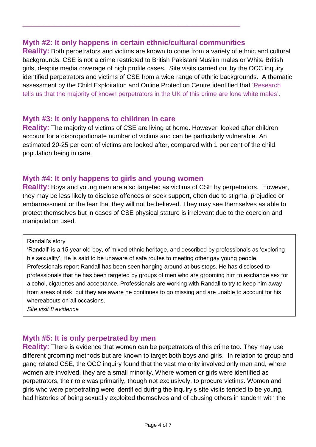# **Myth #2: It only happens in certain ethnic/cultural communities**

**\_\_\_\_\_\_\_\_\_\_\_\_\_\_\_\_\_\_\_\_\_\_\_\_\_\_\_\_\_\_\_\_\_\_\_\_\_\_\_\_\_**

**Reality:** Both perpetrators and victims are known to come from a variety of ethnic and cultural backgrounds. CSE is not a crime restricted to British Pakistani Muslim males or White British girls, despite media coverage of high profile cases. Site visits carried out by the OCC inquiry identified perpetrators and victims of CSE from a wide range of ethnic backgrounds. A thematic assessment by the Child Exploitation and Online Protection Centre identified that 'Research tells us that the majority of known perpetrators in the UK of this crime are lone white males'.

## **Myth #3: It only happens to children in care**

**Reality:** The majority of victims of CSE are living at home. However, looked after children account for a disproportionate number of victims and can be particularly vulnerable. An estimated 20-25 per cent of victims are looked after, compared with 1 per cent of the child population being in care.

## **Myth #4: It only happens to girls and young women**

**Reality:** Boys and young men are also targeted as victims of CSE by perpetrators. However, they may be less likely to disclose offences or seek support, often due to stigma, prejudice or embarrassment or the fear that they will not be believed. They may see themselves as able to protect themselves but in cases of CSE physical stature is irrelevant due to the coercion and manipulation used.

#### Randall's story

'Randall' is a 15 year old boy, of mixed ethnic heritage, and described by professionals as 'exploring his sexuality'. He is said to be unaware of safe routes to meeting other gay young people. Professionals report Randall has been seen hanging around at bus stops. He has disclosed to professionals that he has been targeted by groups of men who are grooming him to exchange sex for alcohol, cigarettes and acceptance. Professionals are working with Randall to try to keep him away from areas of risk, but they are aware he continues to go missing and are unable to account for his whereabouts on all occasions.

*Site visit 8 evidence*

## **Myth #5: It is only perpetrated by men**

**Reality:** There is evidence that women can be perpetrators of this crime too. They may use different grooming methods but are known to target both boys and girls. In relation to group and gang related CSE, the OCC inquiry found that the vast majority involved only men and, where women are involved, they are a small minority. Where women or girls were identified as perpetrators, their role was primarily, though not exclusively, to procure victims. Women and girls who were perpetrating were identified during the inquiry's site visits tended to be young, had histories of being sexually exploited themselves and of abusing others in tandem with the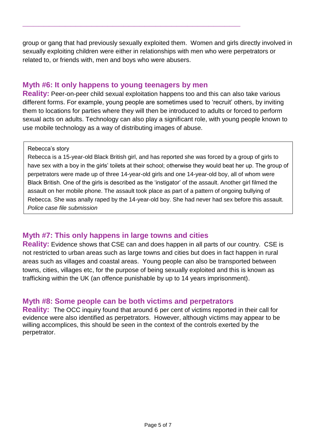group or gang that had previously sexually exploited them. Women and girls directly involved in sexually exploiting children were either in relationships with men who were perpetrators or related to, or friends with, men and boys who were abusers.

#### **Myth #6: It only happens to young teenagers by men**

**\_\_\_\_\_\_\_\_\_\_\_\_\_\_\_\_\_\_\_\_\_\_\_\_\_\_\_\_\_\_\_\_\_\_\_\_\_\_\_\_\_**

**Reality:** Peer-on-peer child sexual exploitation happens too and this can also take various different forms. For example, young people are sometimes used to 'recruit' others, by inviting them to locations for parties where they will then be introduced to adults or forced to perform sexual acts on adults. Technology can also play a significant role, with young people known to use mobile technology as a way of distributing images of abuse.

#### Rebecca's story

Rebecca is a 15-year-old Black British girl, and has reported she was forced by a group of girls to have sex with a boy in the girls' toilets at their school; otherwise they would beat her up. The group of perpetrators were made up of three 14-year-old girls and one 14-year-old boy, all of whom were Black British. One of the girls is described as the 'instigator' of the assault. Another girl filmed the assault on her mobile phone. The assault took place as part of a pattern of ongoing bullying of Rebecca. She was anally raped by the 14-year-old boy. She had never had sex before this assault. *Police case file submission*

# **Myth #7: This only happens in large towns and cities**

**Reality:** Evidence shows that CSE can and does happen in all parts of our country. CSE is not restricted to urban areas such as large towns and cities but does in fact happen in rural areas such as villages and coastal areas. Young people can also be transported between towns, cities, villages etc, for the purpose of being sexually exploited and this is known as trafficking within the UK (an offence punishable by up to 14 years imprisonment).

## **Myth #8: Some people can be both victims and perpetrators**

**Reality:** The OCC inquiry found that around 6 per cent of victims reported in their call for evidence were also identified as perpetrators. However, although victims may appear to be willing accomplices, this should be seen in the context of the controls exerted by the perpetrator.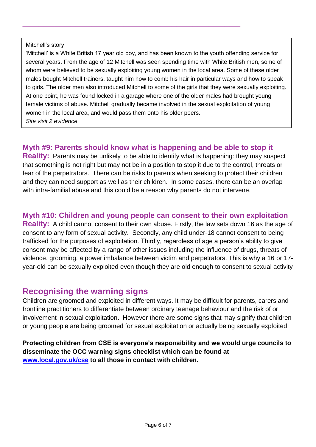#### Mitchell's story

'Mitchell' is a White British 17 year old boy, and has been known to the youth offending service for several years. From the age of 12 Mitchell was seen spending time with White British men, some of whom were believed to be sexually exploiting young women in the local area. Some of these older males bought Mitchell trainers, taught him how to comb his hair in particular ways and how to speak to girls. The older men also introduced Mitchell to some of the girls that they were sexually exploiting. At one point, he was found locked in a garage where one of the older males had brought young female victims of abuse. Mitchell gradually became involved in the sexual exploitation of young women in the local area, and would pass them onto his older peers. *Site visit 2 evidence*

**\_\_\_\_\_\_\_\_\_\_\_\_\_\_\_\_\_\_\_\_\_\_\_\_\_\_\_\_\_\_\_\_\_\_\_\_\_\_\_\_\_**

# **Myth #9: Parents should know what is happening and be able to stop it**

**Reality:** Parents may be unlikely to be able to identify what is happening: they may suspect that something is not right but may not be in a position to stop it due to the control, threats or fear of the perpetrators. There can be risks to parents when seeking to protect their children and they can need support as well as their children. In some cases, there can be an overlap with intra-familial abuse and this could be a reason why parents do not intervene.

#### **Myth #10: Children and young people can consent to their own exploitation**

**Reality:** A child cannot consent to their own abuse. Firstly, the law sets down 16 as the age of consent to any form of sexual activity. Secondly, any child under-18 cannot consent to being trafficked for the purposes of exploitation. Thirdly, regardless of age a person's ability to give consent may be affected by a range of other issues including the influence of drugs, threats of violence, grooming, a power imbalance between victim and perpetrators. This is why a 16 or 17 year-old can be sexually exploited even though they are old enough to consent to sexual activity

# **Recognising the warning signs**

Children are groomed and exploited in different ways. It may be difficult for parents, carers and frontline practitioners to differentiate between ordinary teenage behaviour and the risk of or involvement in sexual exploitation. However there are some signs that may signify that children or young people are being groomed for sexual exploitation or actually being sexually exploited.

#### **Protecting children from CSE is everyone's responsibility and we would urge councils to disseminate the OCC warning signs checklist which can be found at [www.local.gov.uk/cse](http://www.local.gov.uk/cse) to all those in contact with children.**